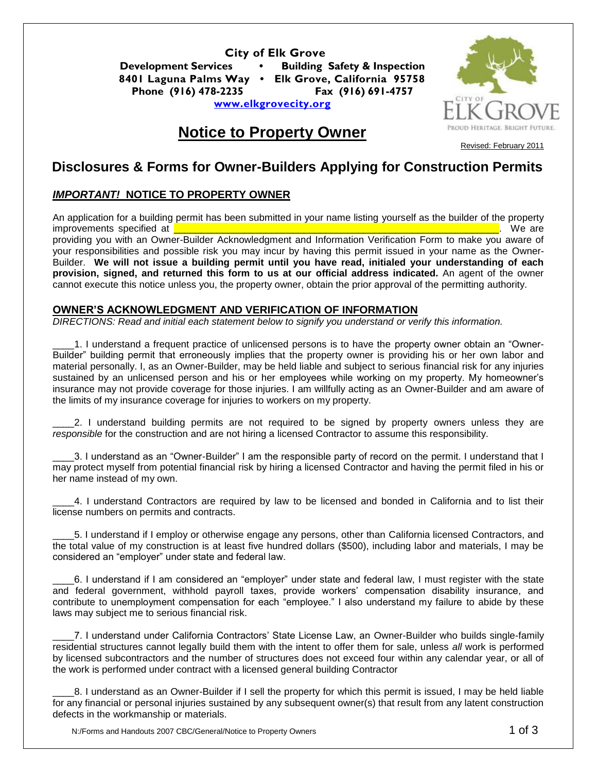**City of Elk Grove Development Services • Building Safety & Inspection 8401 Laguna Palms Way • Elk Grove, California 95758 Phone (916) 478-2235 Fax (916) 691-4757 [www.elkgrovecity.org](http://www.elkgrovecity.org/)**

# **Notice to Property Owner**



Revised: February 2011

# **Disclosures & Forms for Owner-Builders Applying for Construction Permits**

## *IMPORTANT!* **NOTICE TO PROPERTY OWNER**

An application for a building permit has been submitted in your name listing yourself as the builder of the property improvements specified at **a contract of the set of the set of the set of the set of the set of the set of the s** providing you with an Owner-Builder Acknowledgment and Information Verification Form to make you aware of your responsibilities and possible risk you may incur by having this permit issued in your name as the Owner-Builder. **We will not issue a building permit until you have read, initialed your understanding of each provision, signed, and returned this form to us at our official address indicated.** An agent of the owner cannot execute this notice unless you, the property owner, obtain the prior approval of the permitting authority.

### **OWNER'S ACKNOWLEDGMENT AND VERIFICATION OF INFORMATION**

*DIRECTIONS: Read and initial each statement below to signify you understand or verify this information.*

1. I understand a frequent practice of unlicensed persons is to have the property owner obtain an "Owner-Builder" building permit that erroneously implies that the property owner is providing his or her own labor and material personally. I, as an Owner-Builder, may be held liable and subject to serious financial risk for any injuries sustained by an unlicensed person and his or her employees while working on my property. My homeowner's insurance may not provide coverage for those injuries. I am willfully acting as an Owner-Builder and am aware of the limits of my insurance coverage for injuries to workers on my property.

\_\_\_\_2. I understand building permits are not required to be signed by property owners unless they are *responsible* for the construction and are not hiring a licensed Contractor to assume this responsibility.

3. I understand as an "Owner-Builder" I am the responsible party of record on the permit. I understand that I may protect myself from potential financial risk by hiring a licensed Contractor and having the permit filed in his or her name instead of my own.

\_\_\_\_4. I understand Contractors are required by law to be licensed and bonded in California and to list their license numbers on permits and contracts.

\_\_\_\_5. I understand if I employ or otherwise engage any persons, other than California licensed Contractors, and the total value of my construction is at least five hundred dollars (\$500), including labor and materials, I may be considered an "employer" under state and federal law.

\_\_\_\_6. I understand if I am considered an "employer" under state and federal law, I must register with the state and federal government, withhold payroll taxes, provide workers' compensation disability insurance, and contribute to unemployment compensation for each "employee." I also understand my failure to abide by these laws may subject me to serious financial risk.

\_\_\_\_7. I understand under California Contractors' State License Law, an Owner-Builder who builds single-family residential structures cannot legally build them with the intent to offer them for sale, unless *all* work is performed by licensed subcontractors and the number of structures does not exceed four within any calendar year, or all of the work is performed under contract with a licensed general building Contractor

\_\_\_\_8. I understand as an Owner-Builder if I sell the property for which this permit is issued, I may be held liable for any financial or personal injuries sustained by any subsequent owner(s) that result from any latent construction defects in the workmanship or materials.

N:/Forms and Handouts 2007 CBC/General/Notice to Property Owners 1 of 3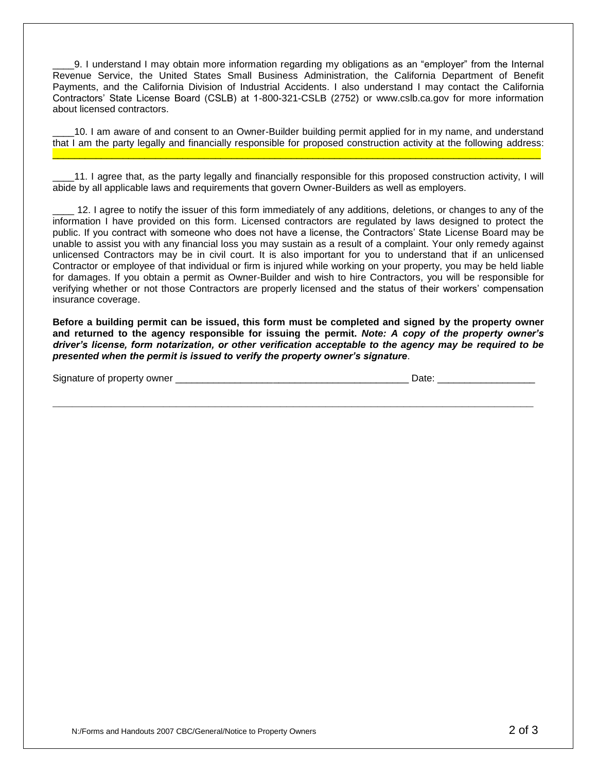\_\_\_\_9. I understand I may obtain more information regarding my obligations as an "employer" from the Internal Revenue Service, the United States Small Business Administration, the California Department of Benefit Payments, and the California Division of Industrial Accidents. I also understand I may contact the California Contractors' State License Board (CSLB) at 1-800-321-CSLB (2752) or www.cslb.ca.gov for more information about licensed contractors.

\_\_\_\_10. I am aware of and consent to an Owner-Builder building permit applied for in my name, and understand that I am the party legally and financially responsible for proposed construction activity at the following address: \_\_\_\_\_\_\_\_\_\_\_\_\_\_\_\_\_\_\_\_\_\_\_\_\_\_\_\_\_\_\_\_\_\_\_\_\_\_\_\_\_\_\_\_\_\_\_\_\_\_\_\_\_\_\_\_\_\_\_\_\_\_\_\_\_\_\_\_\_\_\_\_\_\_\_\_\_\_\_\_\_\_\_\_\_\_\_\_\_\_

\_\_\_\_11. I agree that, as the party legally and financially responsible for this proposed construction activity, I will abide by all applicable laws and requirements that govern Owner-Builders as well as employers.

12. I agree to notify the issuer of this form immediately of any additions, deletions, or changes to any of the information I have provided on this form. Licensed contractors are regulated by laws designed to protect the public. If you contract with someone who does not have a license, the Contractors' State License Board may be unable to assist you with any financial loss you may sustain as a result of a complaint. Your only remedy against unlicensed Contractors may be in civil court. It is also important for you to understand that if an unlicensed Contractor or employee of that individual or firm is injured while working on your property, you may be held liable for damages. If you obtain a permit as Owner-Builder and wish to hire Contractors, you will be responsible for verifying whether or not those Contractors are properly licensed and the status of their workers' compensation insurance coverage.

**Before a building permit can be issued, this form must be completed and signed by the property owner and returned to the agency responsible for issuing the permit.** *Note: A copy of the property owner's driver's license, form notarization, or other verification acceptable to the agency may be required to be presented when the permit is issued to verify the property owner's signature*.

**\_\_\_\_\_\_\_\_\_\_\_\_\_\_\_\_\_\_\_\_\_\_\_\_\_\_\_\_\_\_\_\_\_\_\_\_\_\_\_\_\_\_\_\_\_\_\_\_\_\_\_\_\_\_\_\_\_\_\_\_\_\_\_\_\_\_\_\_\_\_\_\_\_\_**

 $S$  property of property of  $\Box$